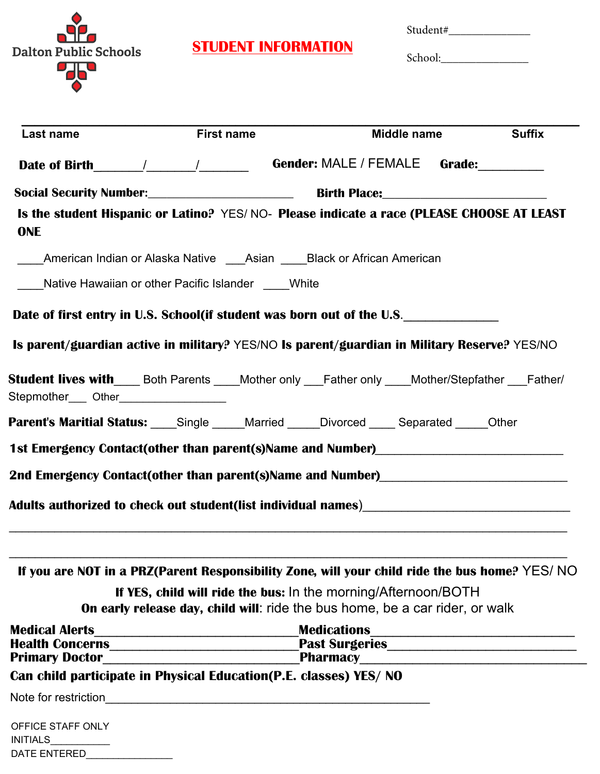

DATE ENTERED\_\_\_\_\_\_\_\_\_\_\_\_\_\_\_\_

# **STUDENT INFORMATION**

Student#\_\_\_\_\_\_\_\_\_\_\_\_\_\_

School:\_\_\_\_\_\_\_\_\_\_\_\_\_\_\_

| Last name                                                                                                                                                                                                                                                                                                                                                                                                          | <b>First name</b>                                                 | Middle name                                                                                                              | <b>Suffix</b> |
|--------------------------------------------------------------------------------------------------------------------------------------------------------------------------------------------------------------------------------------------------------------------------------------------------------------------------------------------------------------------------------------------------------------------|-------------------------------------------------------------------|--------------------------------------------------------------------------------------------------------------------------|---------------|
| Date of Birth $\frac{1}{\sqrt{1-\frac{1}{2}}}\frac{1}{\sqrt{1-\frac{1}{2}}}\frac{1}{\sqrt{1-\frac{1}{2}}}\frac{1}{\sqrt{1-\frac{1}{2}}}\frac{1}{\sqrt{1-\frac{1}{2}}}\frac{1}{\sqrt{1-\frac{1}{2}}}\frac{1}{\sqrt{1-\frac{1}{2}}}\frac{1}{\sqrt{1-\frac{1}{2}}}\frac{1}{\sqrt{1-\frac{1}{2}}}\frac{1}{\sqrt{1-\frac{1}{2}}}\frac{1}{\sqrt{1-\frac{1}{2}}}\frac{1}{\sqrt{1-\frac{1}{2}}}\frac{1}{\sqrt{1-\frac{1}{$ |                                                                   | Gender: MALE / FEMALE Grade:                                                                                             |               |
|                                                                                                                                                                                                                                                                                                                                                                                                                    |                                                                   |                                                                                                                          |               |
| <b>ONE</b>                                                                                                                                                                                                                                                                                                                                                                                                         |                                                                   | Is the student Hispanic or Latino? YES/NO- Please indicate a race (PLEASE CHOOSE AT LEAST                                |               |
|                                                                                                                                                                                                                                                                                                                                                                                                                    | American Indian or Alaska Native Asian Black or African American  |                                                                                                                          |               |
|                                                                                                                                                                                                                                                                                                                                                                                                                    | Native Hawaiian or other Pacific Islander White                   |                                                                                                                          |               |
|                                                                                                                                                                                                                                                                                                                                                                                                                    |                                                                   | Date of first entry in U.S. School(if student was born out of the U.S.                                                   |               |
|                                                                                                                                                                                                                                                                                                                                                                                                                    |                                                                   | Is parent/guardian active in military? YES/NO Is parent/guardian in Military Reserve? YES/NO                             |               |
| Stepmother____ Other__________________                                                                                                                                                                                                                                                                                                                                                                             |                                                                   | <b>Student lives with____</b> Both Parents ____Mother only ___Father only ____Mother/Stepfather ___Father/               |               |
|                                                                                                                                                                                                                                                                                                                                                                                                                    |                                                                   | <b>Parent's Maritial Status:</b> Single Married Divorced Separated Cher                                                  |               |
|                                                                                                                                                                                                                                                                                                                                                                                                                    |                                                                   | 1st Emergency Contact(other than parent(s)Name and Number)<br>1st Emergency Contact(other than parent(s)Name and Number) |               |
|                                                                                                                                                                                                                                                                                                                                                                                                                    |                                                                   | 2nd Emergency Contact(other than parent(s)Name and Number)<br>2nd Emergency Contact(other than parent(s)Name and Number) |               |
|                                                                                                                                                                                                                                                                                                                                                                                                                    |                                                                   |                                                                                                                          |               |
|                                                                                                                                                                                                                                                                                                                                                                                                                    |                                                                   |                                                                                                                          |               |
|                                                                                                                                                                                                                                                                                                                                                                                                                    |                                                                   | If you are NOT in a PRZ(Parent Responsibility Zone, will your child ride the bus home? YES/NO                            |               |
|                                                                                                                                                                                                                                                                                                                                                                                                                    |                                                                   | If YES, child will ride the bus: In the morning/Afternoon/BOTH                                                           |               |
|                                                                                                                                                                                                                                                                                                                                                                                                                    |                                                                   | On early release day, child will: ride the bus home, be a car rider, or walk                                             |               |
| <b>Medical Alerts</b>                                                                                                                                                                                                                                                                                                                                                                                              |                                                                   | <b>Medications</b>                                                                                                       |               |
| <b>Primary Doctor</b>                                                                                                                                                                                                                                                                                                                                                                                              |                                                                   | Past Surgeries                                                                                                           |               |
|                                                                                                                                                                                                                                                                                                                                                                                                                    | Can child participate in Physical Education(P.E. classes) YES/ NO |                                                                                                                          |               |
|                                                                                                                                                                                                                                                                                                                                                                                                                    |                                                                   |                                                                                                                          |               |
| OFFICE STAFF ONLY<br><b>INITIALS</b>                                                                                                                                                                                                                                                                                                                                                                               |                                                                   |                                                                                                                          |               |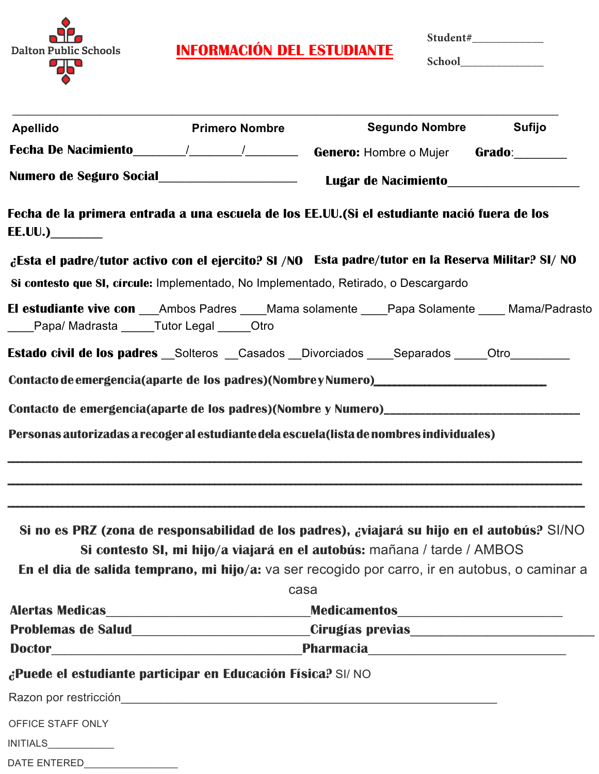

**INFORMACIÓN DEL ESTUDIANTE**

**Student#\_\_\_\_\_\_\_\_\_\_\_\_**

**School\_\_\_\_\_\_\_\_\_\_\_\_\_\_**

| <b>Apellido</b>                                             | <b>Primero Nombre</b> | <b>Segundo Nombre</b>                                                                                                                                                     | <b>Sufijo</b> |
|-------------------------------------------------------------|-----------------------|---------------------------------------------------------------------------------------------------------------------------------------------------------------------------|---------------|
|                                                             |                       | Fecha De Nacimiento _______/________/_______________Genero: Hombre o Mujer Grado:___________                                                                              |               |
|                                                             |                       |                                                                                                                                                                           |               |
| <b>EE.UU.)</b>                                              |                       | Fecha de la primera entrada a una escuela de los EE.UU.(Si el estudiante nació fuera de los                                                                               |               |
|                                                             |                       | ¿Esta el padre/tutor activo con el ejercito? SI /NO Esta padre/tutor en la Reserva Militar? SI/ NO                                                                        |               |
|                                                             |                       | Si contesto que SI, círcule: Implementado, No Implementado, Retirado, o Descargardo                                                                                       |               |
| _Papa/ Madrasta ______Tutor Legal ______Otro                |                       | El estudiante vive con ___Ambos Padres ____Mama solamente ____Papa Solamente ____ Mama/Padrasto                                                                           |               |
|                                                             |                       | <b>Estado civil de los padres</b> Solteros Casados Divorciados Separados Otro                                                                                             |               |
|                                                             |                       | Contacto de emergencia(aparte de los padres)(NombreyNumero) ____________________                                                                                          |               |
|                                                             |                       | Contacto de emergencia(aparte de los padres)(Nombre y Numero)__________________________                                                                                   |               |
|                                                             |                       |                                                                                                                                                                           |               |
|                                                             |                       |                                                                                                                                                                           |               |
|                                                             |                       | Si no es PRZ (zona de responsabilidad de los padres), ¿viajará su hijo en el autobús? SI/NO                                                                               |               |
|                                                             |                       | Si contesto SI, mi hijo/a viajará en el autobús: mañana / tarde / AMBOS<br>En el dia de salida temprano, mi hijo/a: va ser recogido por carro, ir en autobus, o caminar a |               |
|                                                             |                       | casa                                                                                                                                                                      |               |
|                                                             |                       | Alertas Medicas_________________________________Medicamentos____________________                                                                                          |               |
|                                                             |                       | Problemas de Salud________________________Cirugías previas______________________                                                                                          |               |
|                                                             |                       |                                                                                                                                                                           |               |
| ¿Puede el estudiante participar en Educación Física? SI/ NO |                       |                                                                                                                                                                           |               |
|                                                             |                       |                                                                                                                                                                           |               |
| OFFICE STAFF ONLY                                           |                       |                                                                                                                                                                           |               |
| <b>INITIALS</b>                                             |                       |                                                                                                                                                                           |               |
|                                                             |                       |                                                                                                                                                                           |               |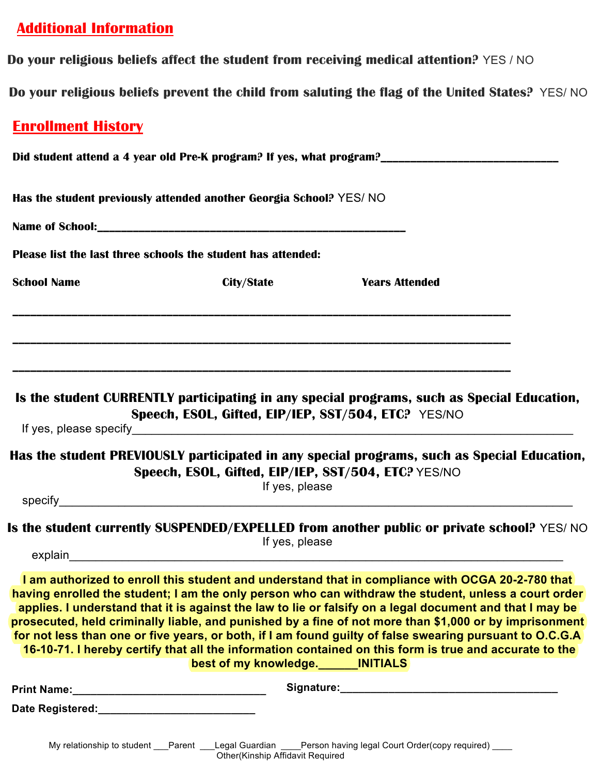# **Additional Information**

**Do your religious beliefs affect the student from receiving medical attention?** YES / NO

**Do your religious beliefs prevent the child from saluting the flag of the United States?** YES/ NO

# **Enrollment History**

|                                                                                                                                                                                                                                | Has the student previously attended another Georgia School? YES/ NO   |                                                                                                                                                                                                                                                                                                                                                                                                                                                                                                                                                                                                                                                      |  |  |  |
|--------------------------------------------------------------------------------------------------------------------------------------------------------------------------------------------------------------------------------|-----------------------------------------------------------------------|------------------------------------------------------------------------------------------------------------------------------------------------------------------------------------------------------------------------------------------------------------------------------------------------------------------------------------------------------------------------------------------------------------------------------------------------------------------------------------------------------------------------------------------------------------------------------------------------------------------------------------------------------|--|--|--|
|                                                                                                                                                                                                                                |                                                                       |                                                                                                                                                                                                                                                                                                                                                                                                                                                                                                                                                                                                                                                      |  |  |  |
|                                                                                                                                                                                                                                | Please list the last three schools the student has attended:          |                                                                                                                                                                                                                                                                                                                                                                                                                                                                                                                                                                                                                                                      |  |  |  |
| <b>School Name</b>                                                                                                                                                                                                             | City/State                                                            | <b>Years Attended</b>                                                                                                                                                                                                                                                                                                                                                                                                                                                                                                                                                                                                                                |  |  |  |
|                                                                                                                                                                                                                                |                                                                       |                                                                                                                                                                                                                                                                                                                                                                                                                                                                                                                                                                                                                                                      |  |  |  |
|                                                                                                                                                                                                                                | Speech, ESOL, Gifted, EIP/IEP, SST/504, ETC? YES/NO                   | Is the student CURRENTLY participating in any special programs, such as Special Education,                                                                                                                                                                                                                                                                                                                                                                                                                                                                                                                                                           |  |  |  |
|                                                                                                                                                                                                                                | Speech, ESOL, Gifted, EIP/IEP, SST/504, ETC? YES/NO<br>If yes, please | Has the student PREVIOUSLY participated in any special programs, such as Special Education,                                                                                                                                                                                                                                                                                                                                                                                                                                                                                                                                                          |  |  |  |
|                                                                                                                                                                                                                                |                                                                       | specify experience and the contract of the contract of the contract of the contract of the contract of the contract of the contract of the contract of the contract of the contract of the contract of the contract of the con                                                                                                                                                                                                                                                                                                                                                                                                                       |  |  |  |
|                                                                                                                                                                                                                                | If yes, please                                                        | Is the student currently SUSPENDED/EXPELLED from another public or private school? YES/NO                                                                                                                                                                                                                                                                                                                                                                                                                                                                                                                                                            |  |  |  |
|                                                                                                                                                                                                                                | best of my knowledge. MITIALS                                         | I am authorized to enroll this student and understand that in compliance with OCGA 20-2-780 that<br>having enrolled the student; I am the only person who can withdraw the student, unless a court order<br>applies. I understand that it is against the law to lie or falsify on a legal document and that I may be<br>prosecuted, held criminally liable, and punished by a fine of not more than \$1,000 or by imprisonment<br>for not less than one or five years, or both, if I am found guilty of false swearing pursuant to O.C.G.A<br>16-10-71. I hereby certify that all the information contained on this form is true and accurate to the |  |  |  |
|                                                                                                                                                                                                                                |                                                                       |                                                                                                                                                                                                                                                                                                                                                                                                                                                                                                                                                                                                                                                      |  |  |  |
| Date Registered: National Property of the Contract of the Contract of the Contract of the Contract of the Contract of the Contract of the Contract of the Contract of the Contract of the Contract of the Contract of the Cont |                                                                       |                                                                                                                                                                                                                                                                                                                                                                                                                                                                                                                                                                                                                                                      |  |  |  |
|                                                                                                                                                                                                                                |                                                                       |                                                                                                                                                                                                                                                                                                                                                                                                                                                                                                                                                                                                                                                      |  |  |  |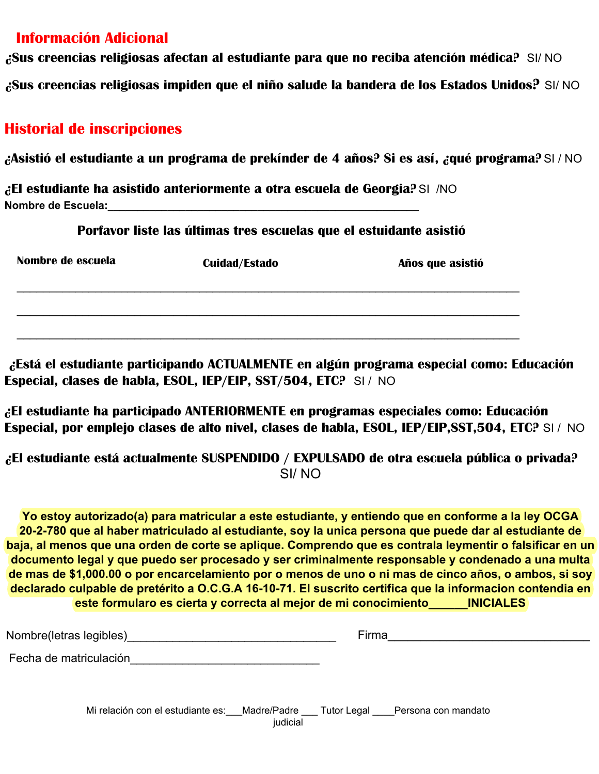## **Información Adicional**

**¿Sus creencias religiosas afectan al estudiante para que no reciba atención médica?** SI/ NO

**¿Sus creencias religiosas impiden que el niño salude la bandera de los Estados Unidos?** SI/ NO

## **Historial de inscripciones**

**¿Asistió el estudiante a un programa de prekínder de 4 años? Si es así, ¿qué programa?** SI / NO

**¿El estudiante ha asistido anteriormente a otra escuela de Georgia?** SI /NO **Nombre de Escuela:\_\_\_\_\_\_\_\_\_\_\_\_\_\_\_\_\_\_\_\_\_\_\_\_\_\_\_\_\_\_\_\_\_\_\_\_\_\_\_\_\_\_\_\_\_\_\_\_\_\_\_\_**

**Porfavor liste las últimas tres escuelas que el estuidante asistió**

| Nombre de escuela | <b>Cuidad/Estado</b> | Años que asistió |  |  |
|-------------------|----------------------|------------------|--|--|
|                   |                      |                  |  |  |
|                   |                      |                  |  |  |

**¿Está el estudiante participando ACTUALMENTE en algún programa especial como: Educación Especial, clases de habla, ESOL, IEP/EIP, SST/504, ETC?** SI / NO

**¿El estudiante ha participado ANTERIORMENTE en programas especiales como: Educación Especial, por emplejo clases de alto nivel, clases de habla, ESOL, IEP/EIP,SST,504, ETC?** SI / NO

**¿El estudiante está actualmente SUSPENDIDO / EXPULSADO de otra escuela pública o privada?**  SI/ NO

**Yo estoy autorizado(a) para matricular a este estudiante, y entiendo que en conforme a la ley OCGA 20-2-780 que al haber matriculado al estudiante, soy la unica persona que puede dar al estudiante de baja, al menos que una orden de corte se aplique. Comprendo que es contrala leymentir o falsificar en un documento legal y que puedo ser procesado y ser criminalmente responsable y condenado a una multa de mas de \$1,000.00 o por encarcelamiento por o menos de uno o ni mas de cinco años, o ambos, si soy declarado culpable de pretérito a O.C.G.A 16-10-71. El suscrito certifica que la informacion contendia en este formularo es cierta y correcta al mejor de mi conocimiento\_\_\_\_\_\_INICIALES**

| Nombre(letras legibles)                                                       | Firma    |  |  |  |
|-------------------------------------------------------------------------------|----------|--|--|--|
| Fecha de matriculación                                                        |          |  |  |  |
| Mi relación con el estudiante es: Madre/Padre Tutor Legal Persona con mandato | judicial |  |  |  |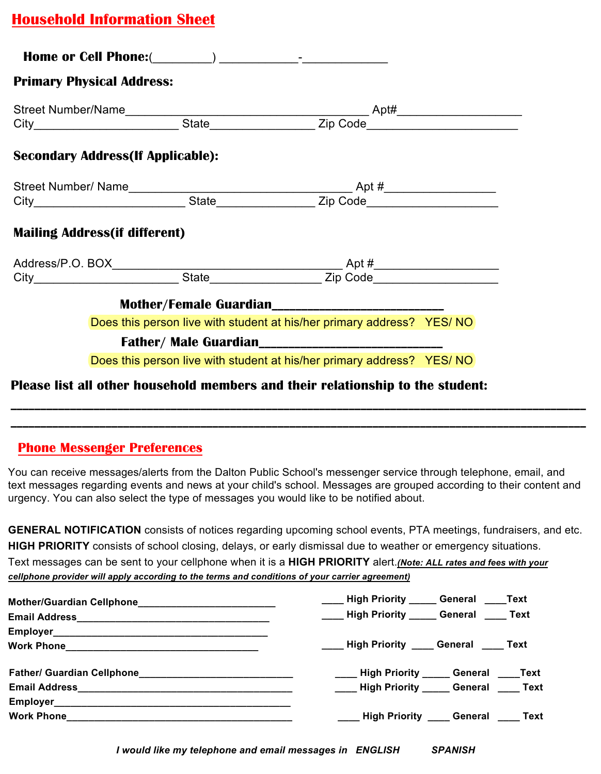# **Household Information Sheet**

| <b>Primary Physical Address:</b>          |                                                                       |  |
|-------------------------------------------|-----------------------------------------------------------------------|--|
|                                           |                                                                       |  |
|                                           |                                                                       |  |
| <b>Secondary Address (If Applicable):</b> |                                                                       |  |
|                                           |                                                                       |  |
|                                           |                                                                       |  |
| <b>Mailing Address (if different)</b>     |                                                                       |  |
|                                           |                                                                       |  |
|                                           |                                                                       |  |
|                                           | Mother/Female Guardian____________________________                    |  |
|                                           | Does this person live with student at his/her primary address? YES/NO |  |
|                                           |                                                                       |  |
|                                           | Does this person live with student at his/her primary address? YES/NO |  |

### **Phone Messenger Preferences**

You can receive messages/alerts from the Dalton Public School's messenger service through telephone, email, and text messages regarding events and news at your child's school. Messages are grouped according to their content and urgency. You can also select the type of messages you would like to be notified about.

**\_\_\_\_\_\_\_\_\_\_\_\_\_\_\_\_\_\_\_\_\_\_\_\_\_\_\_\_\_\_\_\_\_\_\_\_\_\_\_\_\_\_\_\_\_\_\_\_\_\_\_\_\_\_\_\_\_\_\_\_\_\_\_\_\_\_\_\_\_\_\_\_\_\_\_\_\_\_\_\_\_\_\_\_\_\_\_\_\_\_\_\_\_\_\_\_\_ \_\_\_\_\_\_\_\_\_\_\_\_\_\_\_\_\_\_\_\_\_\_\_\_\_\_\_\_\_\_\_\_\_\_\_\_\_\_\_\_\_\_\_\_\_\_\_\_\_\_\_\_\_\_\_\_\_\_\_\_\_\_\_\_\_\_\_\_\_\_\_\_\_\_\_\_\_\_\_\_\_\_\_\_\_\_\_\_\_\_\_\_\_\_\_\_\_**

**GENERAL NOTIFICATION** consists of notices regarding upcoming school events, PTA meetings, fundraisers, and etc. **HIGH PRIORITY** consists of school closing, delays, or early dismissal due to weather or emergency situations.

Text messages can be sent to your cellphone when it is a **HIGH PRIORITY** alert.*(Note: ALL rates and fees with your cellphone provider will apply according to the terms and conditions of your carrier agreement)*

| ____ High Priority _____ General ____Text     |
|-----------------------------------------------|
| ____ High Priority _____ General ____ Text    |
|                                               |
| ____ High Priority ____ General ____ Text     |
| ____ High Priority _____ General ____Text     |
| _____ High Priority ______ General _____ Text |
|                                               |
| ____ High Priority ____ General ____ Text     |

*I would like my telephone and email messages in ENGLISH SPANISH*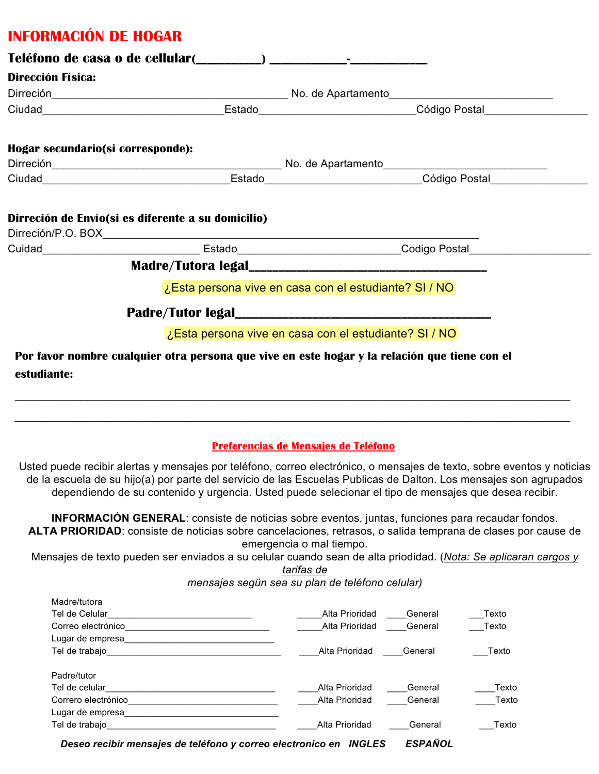# **INFORMACIÓN DE HOGAR**

| Dirección Física: |                                                                                               |  |  |  |  |
|-------------------|-----------------------------------------------------------------------------------------------|--|--|--|--|
|                   |                                                                                               |  |  |  |  |
|                   |                                                                                               |  |  |  |  |
|                   | Hogar secundario(si corresponde):                                                             |  |  |  |  |
|                   |                                                                                               |  |  |  |  |
|                   |                                                                                               |  |  |  |  |
|                   |                                                                                               |  |  |  |  |
|                   | Dirreción de Envío(si es diferente a su domicilio)                                            |  |  |  |  |
|                   |                                                                                               |  |  |  |  |
|                   |                                                                                               |  |  |  |  |
|                   | ¿Esta persona vive en casa con el estudiante? SI / NO                                         |  |  |  |  |
|                   |                                                                                               |  |  |  |  |
|                   | ¿Esta persona vive en casa con el estudiante? SI / NO                                         |  |  |  |  |
|                   | Por favor nombre cualquier otra persona que vive en este hogar y la relación que tiene con el |  |  |  |  |
| estudiante:       |                                                                                               |  |  |  |  |
|                   |                                                                                               |  |  |  |  |
|                   |                                                                                               |  |  |  |  |
|                   |                                                                                               |  |  |  |  |
|                   | Preferencias de Mensajes de Teléfono                                                          |  |  |  |  |

Usted puede recibir alertas y mensajes por teléfono, correo electrónico, o mensajes de texto, sobre eventos y noticias de la escuela de su hijo(a) por parte del servicio de las Escuelas Publicas de Dalton. Los mensajes son agrupados dependiendo de su contenido y urgencia. Usted puede selecionar el tipo de mensajes que desea recibir.

**INFORMACIÓN GENERAL**: consiste de noticias sobre eventos, juntas, funciones para recaudar fondos. **ALTA PRIORIDAD**: consiste de noticias sobre cancelaciones, retrasos, o salida temprana de clases por cause de emergencia o mal tiempo.

Mensajes de texto pueden ser enviados a su celular cuando sean de alta priodidad. (*Nota: Se aplicaran cargos y tarifas de*

*mensajes segün sea su plan de teléfono celular)*

| Madre/tutora        |                |         |       |
|---------------------|----------------|---------|-------|
| Tel de Celular      | Alta Prioridad | General | Texto |
| Correo electrónico  | Alta Prioridad | General | Texto |
| Lugar de empresa    |                |         |       |
| Tel de trabajo      | Alta Prioridad | General | Texto |
| Padre/tutor         |                |         |       |
| Tel de celular      | Alta Prioridad | General | Texto |
| Correro electrónico | Alta Prioridad | General | Texto |
| Lugar de empresa    |                |         |       |
| Tel de trabajo      | Alta Prioridad | General | Texto |

*Deseo recibir mensajes de teléfono y correo electronico en INGLES ESPAÑOL*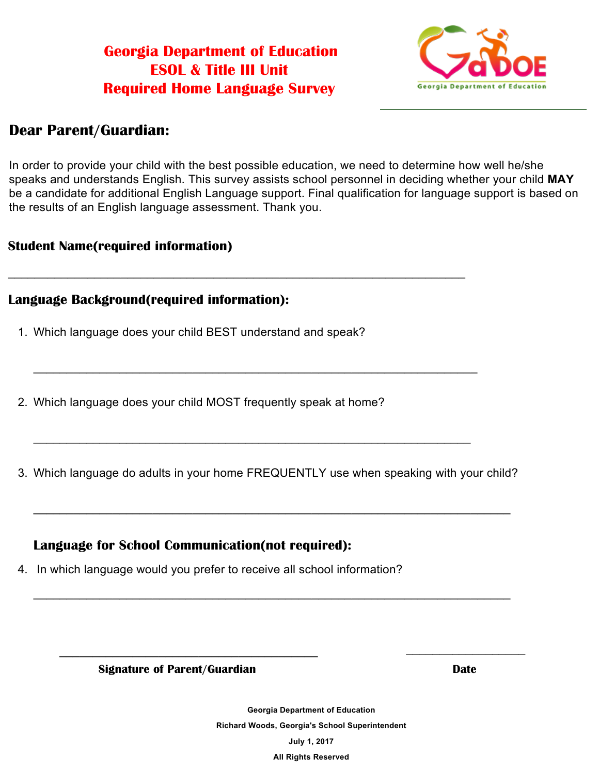# **Georgia Department of Education ESOL & Title III Unit Required Home Language Survey**

\_\_\_\_\_\_\_\_\_\_\_\_\_\_\_\_\_\_\_\_\_\_\_\_\_\_\_\_\_\_\_\_\_\_\_\_\_\_\_\_\_\_\_\_\_\_\_\_\_\_\_\_\_\_\_\_\_\_\_\_\_\_\_\_\_\_\_\_\_



## **Dear Parent/Guardian:**

In order to provide your child with the best possible education, we need to determine how well he/she speaks and understands English. This survey assists school personnel in deciding whether your child **MAY** be a candidate for additional English Language support. Final qualification for language support is based on the results of an English language assessment. Thank you.

### **Student Name(required information)**

### **Language Background(required information):**

- 1. Which language does your child BEST understand and speak?
- 2. Which language does your child MOST frequently speak at home?
- 3. Which language do adults in your home FREQUENTLY use when speaking with your child?

\_\_\_\_\_\_\_\_\_\_\_\_\_\_\_\_\_\_\_\_\_\_\_\_\_\_\_\_\_\_\_\_\_\_\_\_\_\_\_\_\_\_\_\_\_\_\_\_\_\_\_\_\_\_\_\_\_\_\_\_\_\_\_\_\_\_\_\_\_\_\_\_

\_\_\_\_\_\_\_\_\_\_\_\_\_\_\_\_\_\_\_\_\_\_\_\_\_\_\_\_\_\_\_\_\_\_\_\_\_\_\_\_\_\_\_\_\_\_\_\_\_\_\_\_\_\_\_\_\_\_\_\_\_\_\_\_\_\_\_\_\_\_\_\_

 $\overline{\phantom{a}}$  , and the contract of the contract of the contract of the contract of the contract of the contract of the contract of the contract of the contract of the contract of the contract of the contract of the contrac

\_\_\_\_\_\_\_\_\_\_\_\_\_\_\_\_\_\_\_\_\_\_\_\_\_\_\_\_\_\_\_\_\_\_\_\_\_\_\_\_\_\_\_\_\_\_\_\_\_\_\_\_\_\_\_\_\_\_\_\_\_\_\_\_\_\_\_

\_\_\_\_\_\_\_\_\_\_\_\_\_\_\_\_\_\_\_\_\_\_\_\_\_\_\_\_\_\_\_\_\_\_\_\_\_\_\_\_\_\_\_\_\_\_\_\_\_\_\_\_\_\_\_\_\_\_\_\_\_\_\_\_\_\_

### **Language for School Communication(not required):**

4. In which language would you prefer to receive all school information?

**Signature of Parent/Guardian Date**

**Georgia Department of Education Richard Woods, Georgia's School Superintendent July 1, 2017 All Rights Reserved**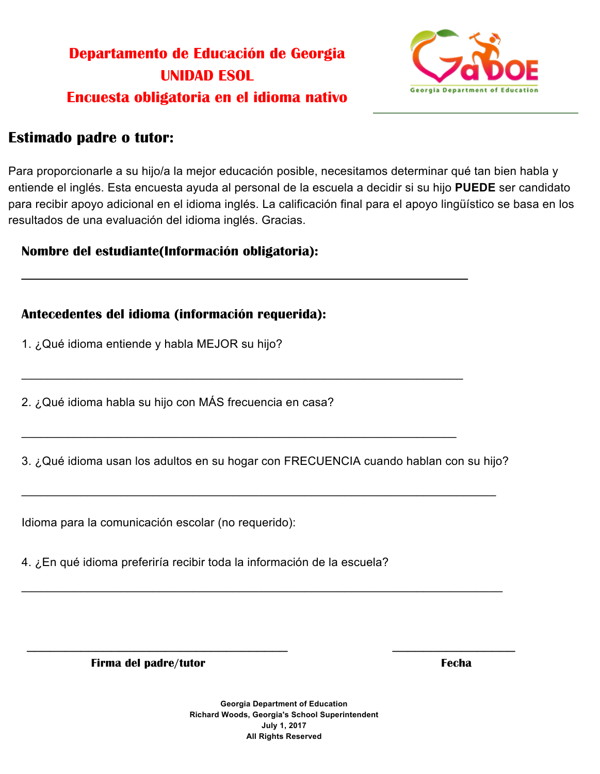# **Departamento de Educación de Georgia UNIDAD ESOL Encuesta obligatoria en el idioma nativo**



## **Estimado padre o tutor:**

Para proporcionarle a su hijo/a la mejor educación posible, necesitamos determinar qué tan bien habla y entiende el inglés. Esta encuesta ayuda al personal de la escuela a decidir si su hijo **PUEDE** ser candidato para recibir apoyo adicional en el idioma inglés. La calificación final para el apoyo lingüístico se basa en los resultados de una evaluación del idioma inglés. Gracias.

### **Nombre del estudiante(Información obligatoria):**

### **Antecedentes del idioma (información requerida):**

1. ¿Qué idioma entiende y habla MEJOR su hijo?

2. ¿Qué idioma habla su hijo con MÁS frecuencia en casa?

3. ¿Qué idioma usan los adultos en su hogar con FRECUENCIA cuando hablan con su hijo?

\_\_\_\_\_\_\_\_\_\_\_\_\_\_\_\_\_\_\_\_\_\_\_\_\_\_\_\_\_\_\_\_\_\_\_\_\_\_\_\_\_\_\_\_\_\_\_\_\_\_\_\_\_\_\_\_\_\_\_\_\_\_\_\_\_\_\_\_\_\_\_\_

\_\_\_\_\_\_\_\_\_\_\_\_\_\_\_\_\_\_\_\_\_\_\_\_\_\_\_\_\_\_\_\_\_\_\_\_\_\_\_\_\_\_\_\_\_\_\_\_\_\_\_\_\_\_\_\_\_\_\_\_\_\_\_\_\_\_\_\_\_\_\_\_\_

 $\overline{\phantom{a}}$  , and the contract of the contract of the contract of the contract of the contract of the contract of the contract of the contract of the contract of the contract of the contract of the contract of the contrac

 $\overline{\phantom{a}}$  , and the contract of the contract of the contract of the contract of the contract of the contract of the contract of the contract of the contract of the contract of the contract of the contract of the contrac

\_\_\_\_\_\_\_\_\_\_\_\_\_\_\_\_\_\_\_\_\_\_\_\_\_\_\_\_\_\_\_\_\_\_\_\_\_\_\_\_\_\_\_\_\_\_\_\_\_\_\_\_\_\_\_\_\_\_\_\_\_\_\_\_\_\_\_

\_\_\_\_\_\_\_\_\_\_\_\_\_\_\_\_\_\_\_\_\_\_\_\_\_\_\_\_\_\_\_\_\_\_\_\_\_\_\_\_\_\_\_\_\_\_\_\_\_\_\_\_\_\_\_\_\_\_\_\_\_\_\_\_\_\_

Idioma para la comunicación escolar (no requerido):

4. ¿En qué idioma preferiría recibir toda la información de la escuela?

**Firma del padre/tutor established al estable del padre/tutor estable al estable del padre/tutor estable del padre/tutor estable del padre/tutor estable del padre/tutor estable del padre/tutor estable del padre/tutor estab** 

**Georgia Department of Education Richard Woods, Georgia's School Superintendent July 1, 2017 All Rights Reserved**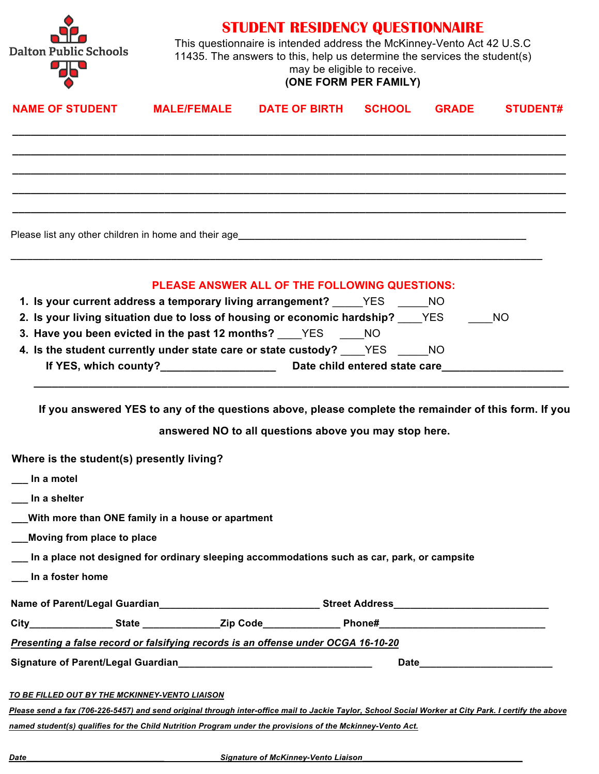

**STUDENT RESIDENCY QUESTIONNAIRE**

This questionnaire is intended address the McKinney-Vento Act 42 U.S.C 11435. The answers to this, help us determine the services the student(s) may be eligible to receive.

### **(ONE FORM PER FAMILY)**

| <b>NAME OF STUDENT</b>                                                                                                                                | <b>MALE/FEMALE</b> | <b>DATE OF BIRTH</b>                          | <b>SCHOOL</b> | <b>GRADE</b> | <b>STUDENT#</b> |
|-------------------------------------------------------------------------------------------------------------------------------------------------------|--------------------|-----------------------------------------------|---------------|--------------|-----------------|
|                                                                                                                                                       |                    |                                               |               |              |                 |
|                                                                                                                                                       |                    |                                               |               |              |                 |
|                                                                                                                                                       |                    |                                               |               |              |                 |
|                                                                                                                                                       |                    |                                               |               |              |                 |
|                                                                                                                                                       |                    | PLEASE ANSWER ALL OF THE FOLLOWING QUESTIONS: |               |              |                 |
| 1. Is your current address a temporary living arrangement? YES NO                                                                                     |                    |                                               |               |              |                 |
| 2. Is your living situation due to loss of housing or economic hardship? ____YES                                                                      |                    |                                               |               |              | <b>NO</b>       |
| 3. Have you been evicted in the past 12 months? YES NO                                                                                                |                    |                                               |               |              |                 |
| 4. Is the student currently under state care or state custody? _____YES _______NO                                                                     |                    |                                               |               |              |                 |
|                                                                                                                                                       |                    |                                               |               |              |                 |
| Where is the student(s) presently living?<br>In a motel<br>__ In a shelter                                                                            |                    |                                               |               |              |                 |
| __With more than ONE family in a house or apartment                                                                                                   |                    |                                               |               |              |                 |
| Moving from place to place                                                                                                                            |                    |                                               |               |              |                 |
| __ In a place not designed for ordinary sleeping accommodations such as car, park, or campsite                                                        |                    |                                               |               |              |                 |
| __ In a foster home                                                                                                                                   |                    |                                               |               |              |                 |
|                                                                                                                                                       |                    |                                               |               |              |                 |
| City__________________State ________________Zip Code________________Phone#_______________________________                                             |                    |                                               |               |              |                 |
| Presenting a false record or falsifying records is an offense under OCGA 16-10-20                                                                     |                    |                                               |               |              |                 |
|                                                                                                                                                       |                    |                                               |               |              |                 |
| TO BE FILLED OUT BY THE MCKINNEY-VENTO LIAISON                                                                                                        |                    |                                               |               |              |                 |
| Please send a fax (706-226-5457) and send original through inter-office mail to Jackie Taylor, School Social Worker at City Park. I certify the above |                    |                                               |               |              |                 |
| named student(s) qualifies for the Child Nutrition Program under the provisions of the Mckinney-Vento Act.                                            |                    |                                               |               |              |                 |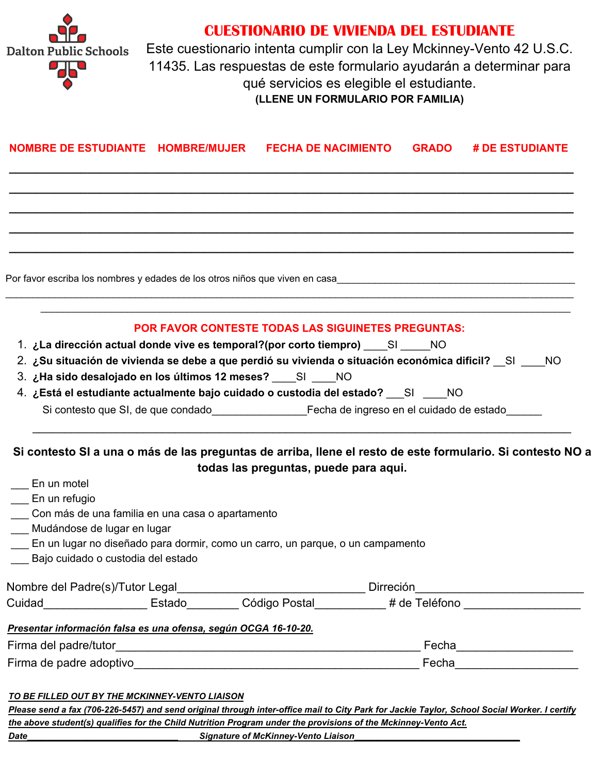

## **CUESTIONARIO DE VIVIENDA DEL ESTUDIANTE**

Este cuestionario intenta cumplir con la Ley Mckinney-Vento 42 U.S.C. 11435. Las respuestas de este formulario ayudarán a determinar para qué servicios es elegible el estudiante. **(LLENE UN FORMULARIO POR FAMILIA)**

| NOMBRE DE ESTUDIANTE HOMBRE/MUJER FECHA DE NACIMIENTO                                                          | <b>GRADO # DE ESTUDIANTE</b>                                                                                                                                                                                                      |
|----------------------------------------------------------------------------------------------------------------|-----------------------------------------------------------------------------------------------------------------------------------------------------------------------------------------------------------------------------------|
|                                                                                                                |                                                                                                                                                                                                                                   |
|                                                                                                                | Por favor escriba los nombres y edades de los otros niños que viven en casa<br>antica de manda de manda de manda de manda de los otros niños que viven en casa<br>1.000 manda de manda de manda de los de los de los de los de la |
| 1. ¿La dirección actual donde vive es temporal?(por corto tiempro) SI NO                                       | <b>POR FAVOR CONTESTE TODAS LAS SIGUINETES PREGUNTAS:</b><br>2. ¿Su situación de vivienda se debe a que perdió su vivienda o situación económica dificil? __SI ____NO                                                             |
| 3. ¿Ha sido desalojado en los últimos 12 meses? SI NO                                                          |                                                                                                                                                                                                                                   |
| 4. ¿Está el estudiante actualmente bajo cuidado o custodia del estado? SI ____ NO                              |                                                                                                                                                                                                                                   |
|                                                                                                                | Si contesto que SI, de que condado en el establechio de ingreso en el cuidado de estado                                                                                                                                           |
|                                                                                                                | Si contesto SI a una o más de las preguntas de arriba, llene el resto de este formulario. Si contesto NO a<br>todas las preguntas, puede para aqui.                                                                               |
| En un motel                                                                                                    |                                                                                                                                                                                                                                   |
| En un refugio                                                                                                  |                                                                                                                                                                                                                                   |
| Con más de una familia en una casa o apartamento<br>___ Mudándose de lugar en lugar                            |                                                                                                                                                                                                                                   |
| En un lugar no diseñado para dormir, como un carro, un parque, o un campamento                                 |                                                                                                                                                                                                                                   |
| Bajo cuidado o custodia del estado                                                                             |                                                                                                                                                                                                                                   |
| Nombre del Padre(s)/Tutor Legal                                                                                | Dirreción                                                                                                                                                                                                                         |
|                                                                                                                | Cuidad__________________________Estado____________Código Postal____________# de Teléfono _____________________                                                                                                                    |
| Presentar información falsa es una ofensa, según OCGA 16-10-20.                                                |                                                                                                                                                                                                                                   |
| Firma del padre/tutor                                                                                          | Fecha_____________________                                                                                                                                                                                                        |
|                                                                                                                | Fecha__________________________                                                                                                                                                                                                   |
| TO BE FILLED OUT BY THE MCKINNEY-VENTO LIAISON                                                                 | Please send a fax (706-226-5457) and send original through inter-office mail to City Park for Jackie Taylor, School Social Worker. I certify                                                                                      |
| the above student(s) qualifies for the Child Nutrition Program under the provisions of the Mckinney-Vento Act. |                                                                                                                                                                                                                                   |
| <b>Signature of McKinney-Vento Liaison</b><br><b>Date</b>                                                      |                                                                                                                                                                                                                                   |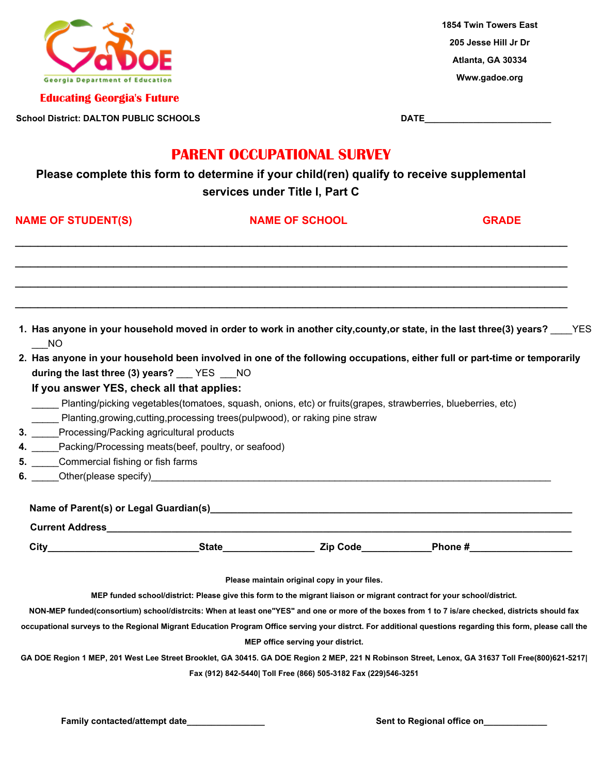

**Educating Georgia's Future**

**School District: DALTON PUBLIC SCHOOLS DATE\_\_\_\_\_\_\_\_\_\_\_\_\_\_\_\_\_\_\_\_\_\_\_\_\_\_**

**1854 Twin Towers East 205 Jesse Hill Jr Dr Atlanta, GA 30334 Www.gadoe.org**

## **PARENT OCCUPATIONAL SURVEY**

**Please complete this form to determine if your child(ren) qualify to receive supplemental services under Title I, Part C**

| <b>NAME OF STUDENT(S)</b>                                                                                                                                                                                                                                                                                                                                                                                                                                       |                                                                                                                                                                                                            |  | <b>NAME OF SCHOOL</b>                                          | <b>GRADE</b>                                                                                                                                              |
|-----------------------------------------------------------------------------------------------------------------------------------------------------------------------------------------------------------------------------------------------------------------------------------------------------------------------------------------------------------------------------------------------------------------------------------------------------------------|------------------------------------------------------------------------------------------------------------------------------------------------------------------------------------------------------------|--|----------------------------------------------------------------|-----------------------------------------------------------------------------------------------------------------------------------------------------------|
|                                                                                                                                                                                                                                                                                                                                                                                                                                                                 |                                                                                                                                                                                                            |  |                                                                |                                                                                                                                                           |
|                                                                                                                                                                                                                                                                                                                                                                                                                                                                 | <b>NO</b>                                                                                                                                                                                                  |  |                                                                | 1. Has anyone in your household moved in order to work in another city, county, or state, in the last three(3) years? ____YES                             |
|                                                                                                                                                                                                                                                                                                                                                                                                                                                                 | during the last three (3) years? Fig. The MO<br>If you answer YES, check all that applies:<br>Planting/picking vegetables(tomatoes, squash, onions, etc) or fruits(grapes, strawberries, blueberries, etc) |  |                                                                | 2. Has anyone in your household been involved in one of the following occupations, either full or part-time or temporarily                                |
| Planting, growing, cutting, processing trees (pulpwood), or raking pine straw<br>3. Processing/Packing agricultural products<br>4. Packing/Processing meats(beef, poultry, or seafood)<br>5. Commercial fishing or fish farms<br>6. Other (please specify) example and the contract of the contract of the contract of the contract of the contract of the contract of the contract of the contract of the contract of the contract of the contract of the cont |                                                                                                                                                                                                            |  |                                                                |                                                                                                                                                           |
|                                                                                                                                                                                                                                                                                                                                                                                                                                                                 |                                                                                                                                                                                                            |  |                                                                |                                                                                                                                                           |
|                                                                                                                                                                                                                                                                                                                                                                                                                                                                 |                                                                                                                                                                                                            |  |                                                                |                                                                                                                                                           |
|                                                                                                                                                                                                                                                                                                                                                                                                                                                                 |                                                                                                                                                                                                            |  | Please maintain original copy in your files.                   |                                                                                                                                                           |
|                                                                                                                                                                                                                                                                                                                                                                                                                                                                 |                                                                                                                                                                                                            |  |                                                                | MEP funded school/district: Please give this form to the migrant liaison or migrant contract for your school/district.                                    |
|                                                                                                                                                                                                                                                                                                                                                                                                                                                                 |                                                                                                                                                                                                            |  |                                                                | NON-MEP funded(consortium) school/distrcits: When at least one"YES" and one or more of the boxes from 1 to 7 is/are checked, districts should fax         |
|                                                                                                                                                                                                                                                                                                                                                                                                                                                                 |                                                                                                                                                                                                            |  |                                                                | occupational surveys to the Regional Migrant Education Program Office serving your distrct. For additional questions regarding this form, please call the |
|                                                                                                                                                                                                                                                                                                                                                                                                                                                                 |                                                                                                                                                                                                            |  | MEP office serving your district.                              |                                                                                                                                                           |
|                                                                                                                                                                                                                                                                                                                                                                                                                                                                 |                                                                                                                                                                                                            |  |                                                                | GA DOE Region 1 MEP, 201 West Lee Street Brooklet, GA 30415. GA DOE Region 2 MEP, 221 N Robinson Street, Lenox, GA 31637 Toll Free(800)621-5217           |
|                                                                                                                                                                                                                                                                                                                                                                                                                                                                 |                                                                                                                                                                                                            |  | Fax (912) 842-5440  Toll Free (866) 505-3182 Fax (229)546-3251 |                                                                                                                                                           |

**Family contacted/attempt date\_\_\_\_\_\_\_\_\_\_\_\_\_\_\_\_ Sent to Regional office on\_\_\_\_\_\_\_\_\_\_\_\_\_**